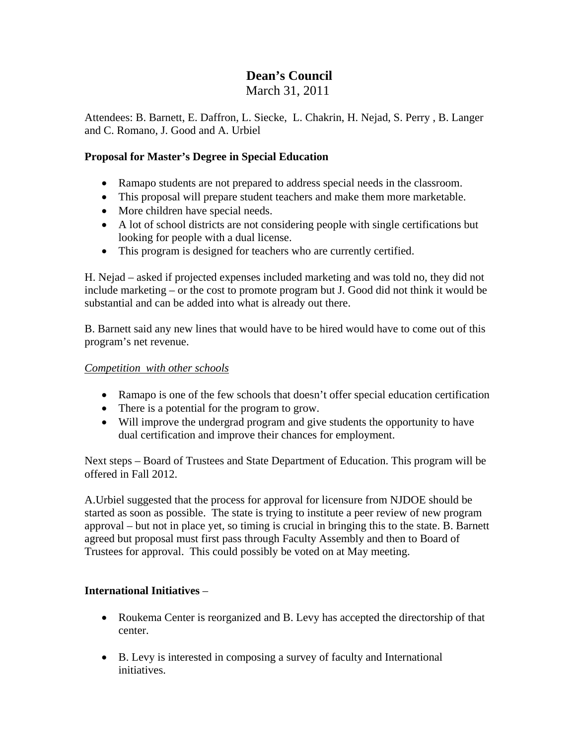# **Dean's Council**

March 31, 2011

Attendees: B. Barnett, E. Daffron, L. Siecke, L. Chakrin, H. Nejad, S. Perry , B. Langer and C. Romano, J. Good and A. Urbiel

## **Proposal for Master's Degree in Special Education**

- Ramapo students are not prepared to address special needs in the classroom.
- This proposal will prepare student teachers and make them more marketable.
- More children have special needs.
- A lot of school districts are not considering people with single certifications but looking for people with a dual license.
- This program is designed for teachers who are currently certified.

H. Nejad – asked if projected expenses included marketing and was told no, they did not include marketing – or the cost to promote program but J. Good did not think it would be substantial and can be added into what is already out there.

B. Barnett said any new lines that would have to be hired would have to come out of this program's net revenue.

## *Competition with other schools*

- Ramapo is one of the few schools that doesn't offer special education certification
- There is a potential for the program to grow.
- Will improve the undergrad program and give students the opportunity to have dual certification and improve their chances for employment.

Next steps – Board of Trustees and State Department of Education. This program will be offered in Fall 2012.

A.Urbiel suggested that the process for approval for licensure from NJDOE should be started as soon as possible. The state is trying to institute a peer review of new program approval – but not in place yet, so timing is crucial in bringing this to the state. B. Barnett agreed but proposal must first pass through Faculty Assembly and then to Board of Trustees for approval. This could possibly be voted on at May meeting.

# **International Initiatives** –

- Roukema Center is reorganized and B. Levy has accepted the directorship of that center.
- B. Levy is interested in composing a survey of faculty and International initiatives.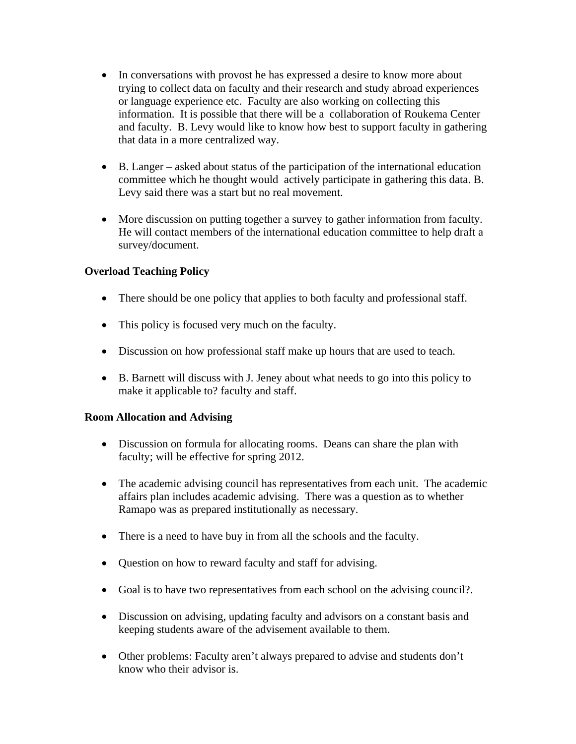- In conversations with provost he has expressed a desire to know more about trying to collect data on faculty and their research and study abroad experiences or language experience etc. Faculty are also working on collecting this information. It is possible that there will be a collaboration of Roukema Center and faculty. B. Levy would like to know how best to support faculty in gathering that data in a more centralized way.
- B. Langer asked about status of the participation of the international education committee which he thought would actively participate in gathering this data. B. Levy said there was a start but no real movement.
- More discussion on putting together a survey to gather information from faculty. He will contact members of the international education committee to help draft a survey/document.

# **Overload Teaching Policy**

- There should be one policy that applies to both faculty and professional staff.
- This policy is focused very much on the faculty.
- Discussion on how professional staff make up hours that are used to teach.
- B. Barnett will discuss with J. Jeney about what needs to go into this policy to make it applicable to? faculty and staff.

## **Room Allocation and Advising**

- Discussion on formula for allocating rooms. Deans can share the plan with faculty; will be effective for spring 2012.
- The academic advising council has representatives from each unit. The academic affairs plan includes academic advising. There was a question as to whether Ramapo was as prepared institutionally as necessary.
- There is a need to have buy in from all the schools and the faculty.
- Question on how to reward faculty and staff for advising.
- Goal is to have two representatives from each school on the advising council?.
- Discussion on advising, updating faculty and advisors on a constant basis and keeping students aware of the advisement available to them.
- Other problems: Faculty aren't always prepared to advise and students don't know who their advisor is.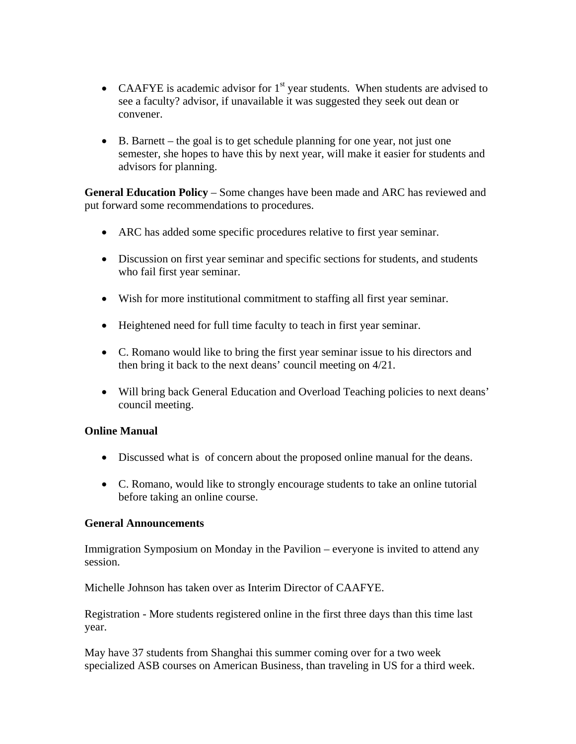- CAAFYE is academic advisor for  $1<sup>st</sup>$  year students. When students are advised to see a faculty? advisor, if unavailable it was suggested they seek out dean or convener.
- B. Barnett the goal is to get schedule planning for one year, not just one semester, she hopes to have this by next year, will make it easier for students and advisors for planning.

**General Education Policy** – Some changes have been made and ARC has reviewed and put forward some recommendations to procedures.

- ARC has added some specific procedures relative to first year seminar.
- Discussion on first year seminar and specific sections for students, and students who fail first year seminar.
- Wish for more institutional commitment to staffing all first year seminar.
- Heightened need for full time faculty to teach in first year seminar.
- C. Romano would like to bring the first year seminar issue to his directors and then bring it back to the next deans' council meeting on 4/21.
- Will bring back General Education and Overload Teaching policies to next deans' council meeting.

#### **Online Manual**

- Discussed what is of concern about the proposed online manual for the deans.
- C. Romano, would like to strongly encourage students to take an online tutorial before taking an online course.

#### **General Announcements**

Immigration Symposium on Monday in the Pavilion – everyone is invited to attend any session.

Michelle Johnson has taken over as Interim Director of CAAFYE.

Registration - More students registered online in the first three days than this time last year.

May have 37 students from Shanghai this summer coming over for a two week specialized ASB courses on American Business, than traveling in US for a third week.